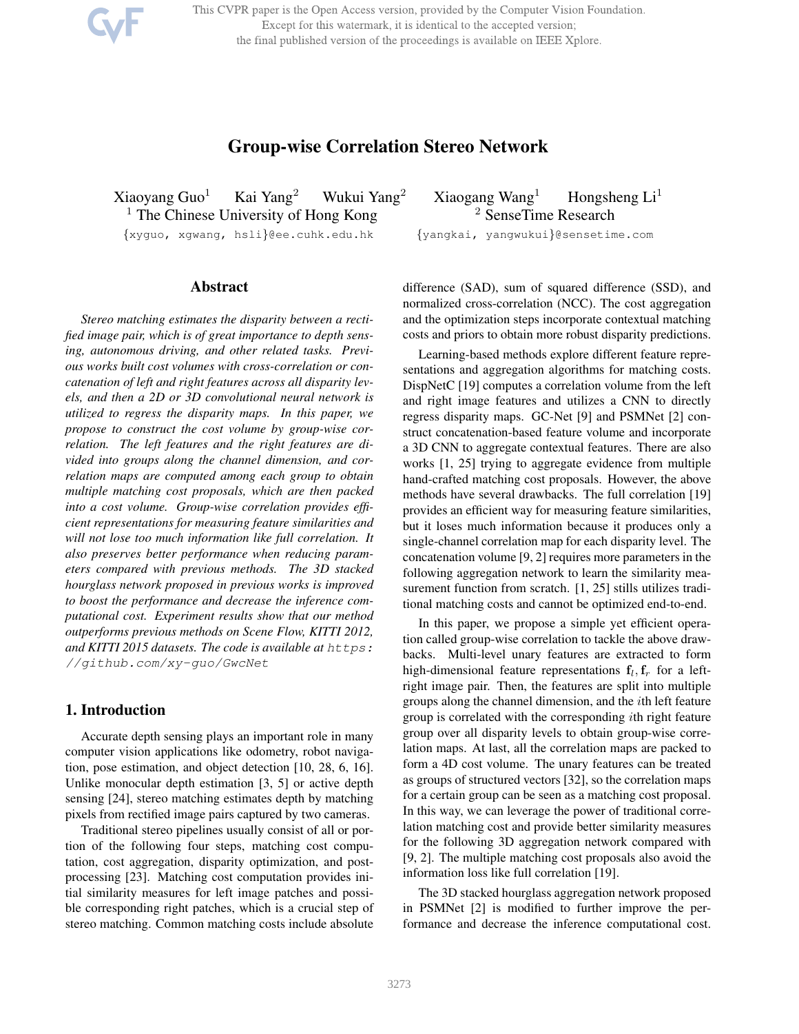This CVPR paper is the Open Access version, provided by the Computer Vision Foundation. Except for this watermark, it is identical to the accepted version; the final published version of the proceedings is available on IEEE Xplore.

# Group-wise Correlation Stereo Network

Xiaoyang Guo<sup>1</sup> Kai Yang<sup>2</sup> Wukui Yang<sup>2</sup> Xiaogang Wang<sup>1</sup> Hongsheng Li<sup>1</sup><br><sup>1</sup> The Chinese University of Hong Kong<sup>2</sup> SenseTime Research  $<sup>1</sup>$  The Chinese University of Hong Kong</sup>

{xyguo, xgwang, hsli}@ee.cuhk.edu.hk {yangkai, yangwukui}@sensetime.com

## Abstract

*Stereo matching estimates the disparity between a rectified image pair, which is of great importance to depth sensing, autonomous driving, and other related tasks. Previous works built cost volumes with cross-correlation or concatenation of left and right features across all disparity levels, and then a 2D or 3D convolutional neural network is utilized to regress the disparity maps. In this paper, we propose to construct the cost volume by group-wise correlation. The left features and the right features are divided into groups along the channel dimension, and correlation maps are computed among each group to obtain multiple matching cost proposals, which are then packed into a cost volume. Group-wise correlation provides efficient representations for measuring feature similarities and will not lose too much information like full correlation. It also preserves better performance when reducing parameters compared with previous methods. The 3D stacked hourglass network proposed in previous works is improved to boost the performance and decrease the inference computational cost. Experiment results show that our method outperforms previous methods on Scene Flow, KITTI 2012, and KITTI 2015 datasets. The code is available at https: //github.com/xy-guo/GwcNet*

## 1. Introduction

Accurate depth sensing plays an important role in many computer vision applications like odometry, robot navigation, pose estimation, and object detection [10, 28, 6, 16]. Unlike monocular depth estimation [3, 5] or active depth sensing [24], stereo matching estimates depth by matching pixels from rectified image pairs captured by two cameras.

Traditional stereo pipelines usually consist of all or portion of the following four steps, matching cost computation, cost aggregation, disparity optimization, and postprocessing [23]. Matching cost computation provides initial similarity measures for left image patches and possible corresponding right patches, which is a crucial step of stereo matching. Common matching costs include absolute

difference (SAD), sum of squared difference (SSD), and normalized cross-correlation (NCC). The cost aggregation and the optimization steps incorporate contextual matching costs and priors to obtain more robust disparity predictions.

Learning-based methods explore different feature representations and aggregation algorithms for matching costs. DispNetC [19] computes a correlation volume from the left and right image features and utilizes a CNN to directly regress disparity maps. GC-Net [9] and PSMNet [2] construct concatenation-based feature volume and incorporate a 3D CNN to aggregate contextual features. There are also works [1, 25] trying to aggregate evidence from multiple hand-crafted matching cost proposals. However, the above methods have several drawbacks. The full correlation [19] provides an efficient way for measuring feature similarities, but it loses much information because it produces only a single-channel correlation map for each disparity level. The concatenation volume [9, 2] requires more parameters in the following aggregation network to learn the similarity measurement function from scratch. [1, 25] stills utilizes traditional matching costs and cannot be optimized end-to-end.

In this paper, we propose a simple yet efficient operation called group-wise correlation to tackle the above drawbacks. Multi-level unary features are extracted to form high-dimensional feature representations  $f_l, f_r$  for a leftright image pair. Then, the features are split into multiple groups along the channel dimension, and the ith left feature group is correlated with the corresponding ith right feature group over all disparity levels to obtain group-wise correlation maps. At last, all the correlation maps are packed to form a 4D cost volume. The unary features can be treated as groups of structured vectors [32], so the correlation maps for a certain group can be seen as a matching cost proposal. In this way, we can leverage the power of traditional correlation matching cost and provide better similarity measures for the following 3D aggregation network compared with [9, 2]. The multiple matching cost proposals also avoid the information loss like full correlation [19].

The 3D stacked hourglass aggregation network proposed in PSMNet [2] is modified to further improve the performance and decrease the inference computational cost.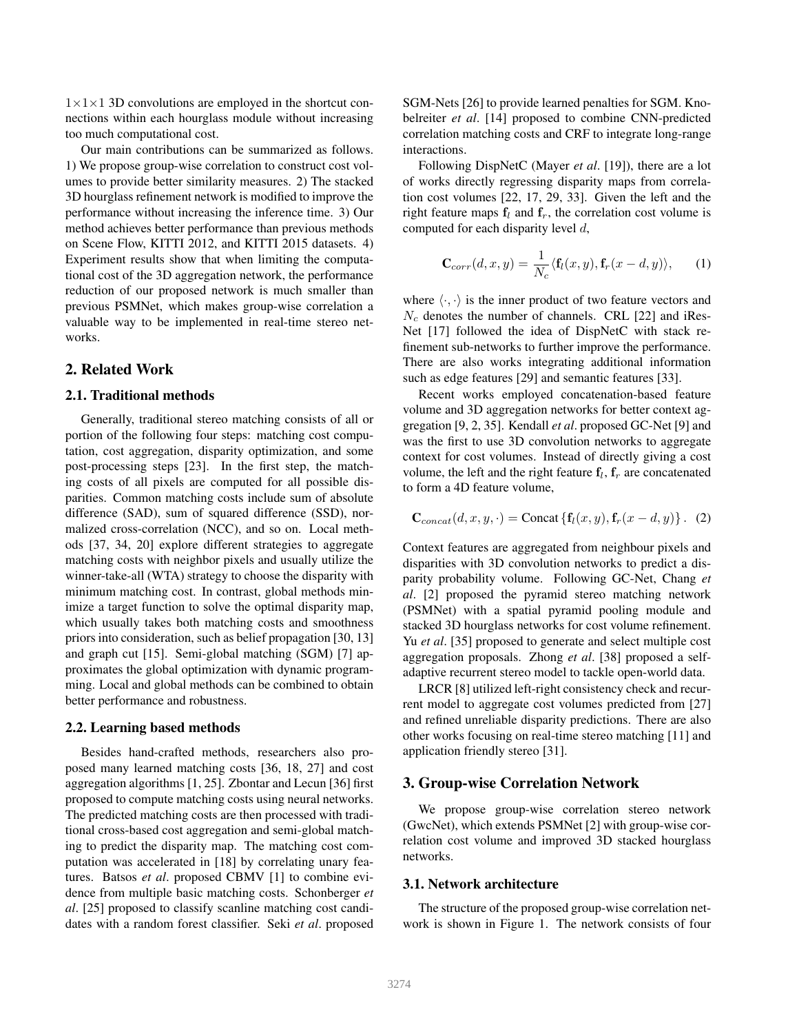$1\times1\times1$  3D convolutions are employed in the shortcut connections within each hourglass module without increasing too much computational cost.

Our main contributions can be summarized as follows. 1) We propose group-wise correlation to construct cost volumes to provide better similarity measures. 2) The stacked 3D hourglass refinement network is modified to improve the performance without increasing the inference time. 3) Our method achieves better performance than previous methods on Scene Flow, KITTI 2012, and KITTI 2015 datasets. 4) Experiment results show that when limiting the computational cost of the 3D aggregation network, the performance reduction of our proposed network is much smaller than previous PSMNet, which makes group-wise correlation a valuable way to be implemented in real-time stereo networks.

### 2. Related Work

### 2.1. Traditional methods

Generally, traditional stereo matching consists of all or portion of the following four steps: matching cost computation, cost aggregation, disparity optimization, and some post-processing steps [23]. In the first step, the matching costs of all pixels are computed for all possible disparities. Common matching costs include sum of absolute difference (SAD), sum of squared difference (SSD), normalized cross-correlation (NCC), and so on. Local methods [37, 34, 20] explore different strategies to aggregate matching costs with neighbor pixels and usually utilize the winner-take-all (WTA) strategy to choose the disparity with minimum matching cost. In contrast, global methods minimize a target function to solve the optimal disparity map, which usually takes both matching costs and smoothness priors into consideration, such as belief propagation [30, 13] and graph cut [15]. Semi-global matching (SGM) [7] approximates the global optimization with dynamic programming. Local and global methods can be combined to obtain better performance and robustness.

#### 2.2. Learning based methods

Besides hand-crafted methods, researchers also proposed many learned matching costs [36, 18, 27] and cost aggregation algorithms [1, 25]. Zbontar and Lecun [36] first proposed to compute matching costs using neural networks. The predicted matching costs are then processed with traditional cross-based cost aggregation and semi-global matching to predict the disparity map. The matching cost computation was accelerated in [18] by correlating unary features. Batsos *et al*. proposed CBMV [1] to combine evidence from multiple basic matching costs. Schonberger *et al*. [25] proposed to classify scanline matching cost candidates with a random forest classifier. Seki *et al*. proposed

SGM-Nets [26] to provide learned penalties for SGM. Knobelreiter *et al*. [14] proposed to combine CNN-predicted correlation matching costs and CRF to integrate long-range interactions.

Following DispNetC (Mayer *et al*. [19]), there are a lot of works directly regressing disparity maps from correlation cost volumes [22, 17, 29, 33]. Given the left and the right feature maps  $f_l$  and  $f_r$ , the correlation cost volume is computed for each disparity level  $d$ ,

$$
\mathbf{C}_{corr}(d,x,y) = \frac{1}{N_c} \langle \mathbf{f}_l(x,y), \mathbf{f}_r(x-d,y) \rangle, \qquad (1)
$$

where  $\langle \cdot, \cdot \rangle$  is the inner product of two feature vectors and  $N_c$  denotes the number of channels. CRL [22] and iRes-Net [17] followed the idea of DispNetC with stack refinement sub-networks to further improve the performance. There are also works integrating additional information such as edge features [29] and semantic features [33].

Recent works employed concatenation-based feature volume and 3D aggregation networks for better context aggregation [9, 2, 35]. Kendall *et al*. proposed GC-Net [9] and was the first to use 3D convolution networks to aggregate context for cost volumes. Instead of directly giving a cost volume, the left and the right feature  $f_l$ ,  $f_r$  are concatenated to form a 4D feature volume,

$$
\mathbf{C}_{concat}(d, x, y, \cdot) = \text{Concat}\left\{\mathbf{f}_l(x, y), \mathbf{f}_r(x - d, y)\right\}. (2)
$$

Context features are aggregated from neighbour pixels and disparities with 3D convolution networks to predict a disparity probability volume. Following GC-Net, Chang *et al*. [2] proposed the pyramid stereo matching network (PSMNet) with a spatial pyramid pooling module and stacked 3D hourglass networks for cost volume refinement. Yu *et al*. [35] proposed to generate and select multiple cost aggregation proposals. Zhong *et al*. [38] proposed a selfadaptive recurrent stereo model to tackle open-world data.

LRCR [8] utilized left-right consistency check and recurrent model to aggregate cost volumes predicted from [27] and refined unreliable disparity predictions. There are also other works focusing on real-time stereo matching [11] and application friendly stereo [31].

### 3. Group-wise Correlation Network

We propose group-wise correlation stereo network (GwcNet), which extends PSMNet [2] with group-wise correlation cost volume and improved 3D stacked hourglass networks.

#### 3.1. Network architecture

The structure of the proposed group-wise correlation network is shown in Figure 1. The network consists of four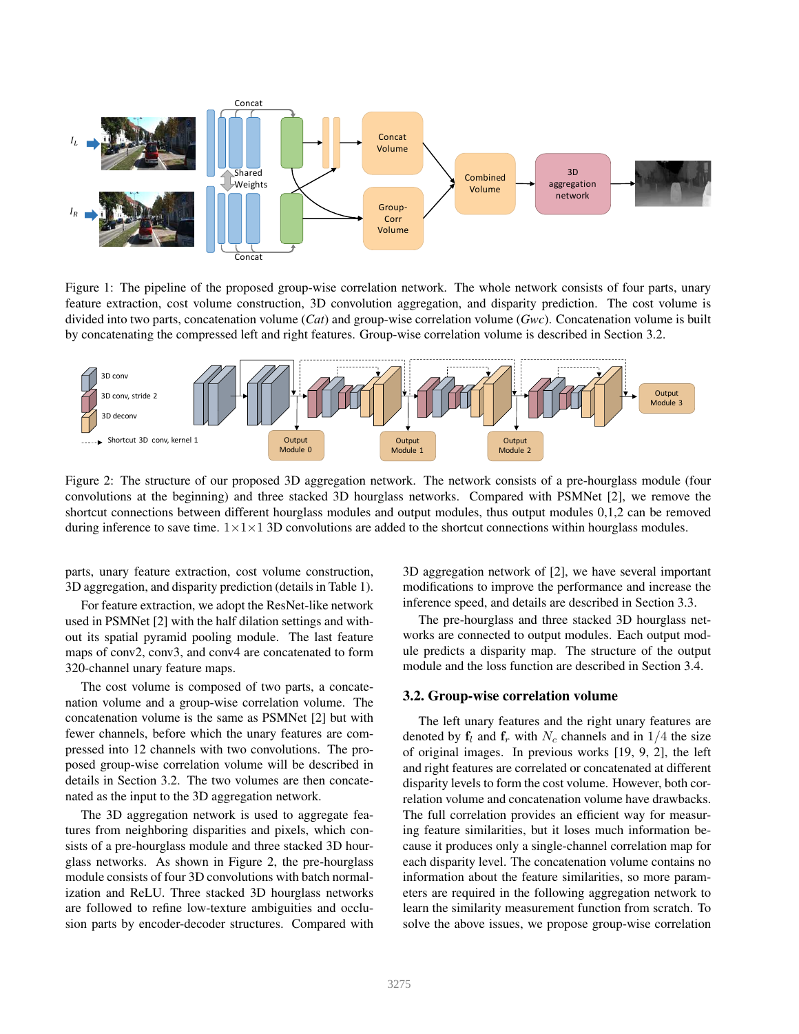

Figure 1: The pipeline of the proposed group-wise correlation network. The whole network consists of four parts, unary feature extraction, cost volume construction, 3D convolution aggregation, and disparity prediction. The cost volume is divided into two parts, concatenation volume (*Cat*) and group-wise correlation volume (*Gwc*). Concatenation volume is built by concatenating the compressed left and right features. Group-wise correlation volume is described in Section 3.2.



Figure 2: The structure of our proposed 3D aggregation network. The network consists of a pre-hourglass module (four convolutions at the beginning) and three stacked 3D hourglass networks. Compared with PSMNet [2], we remove the shortcut connections between different hourglass modules and output modules, thus output modules 0,1,2 can be removed during inference to save time.  $1 \times 1 \times 1$  3D convolutions are added to the shortcut connections within hourglass modules.

parts, unary feature extraction, cost volume construction, 3D aggregation, and disparity prediction (details in Table 1).

For feature extraction, we adopt the ResNet-like network used in PSMNet [2] with the half dilation settings and without its spatial pyramid pooling module. The last feature maps of conv2, conv3, and conv4 are concatenated to form 320-channel unary feature maps.

The cost volume is composed of two parts, a concatenation volume and a group-wise correlation volume. The concatenation volume is the same as PSMNet [2] but with fewer channels, before which the unary features are compressed into 12 channels with two convolutions. The proposed group-wise correlation volume will be described in details in Section 3.2. The two volumes are then concatenated as the input to the 3D aggregation network.

The 3D aggregation network is used to aggregate features from neighboring disparities and pixels, which consists of a pre-hourglass module and three stacked 3D hourglass networks. As shown in Figure 2, the pre-hourglass module consists of four 3D convolutions with batch normalization and ReLU. Three stacked 3D hourglass networks are followed to refine low-texture ambiguities and occlusion parts by encoder-decoder structures. Compared with 3D aggregation network of [2], we have several important modifications to improve the performance and increase the inference speed, and details are described in Section 3.3.

The pre-hourglass and three stacked 3D hourglass networks are connected to output modules. Each output module predicts a disparity map. The structure of the output module and the loss function are described in Section 3.4.

### 3.2. Group-wise correlation volume

The left unary features and the right unary features are denoted by  $f_l$  and  $f_r$  with  $N_c$  channels and in 1/4 the size of original images. In previous works [19, 9, 2], the left and right features are correlated or concatenated at different disparity levels to form the cost volume. However, both correlation volume and concatenation volume have drawbacks. The full correlation provides an efficient way for measuring feature similarities, but it loses much information because it produces only a single-channel correlation map for each disparity level. The concatenation volume contains no information about the feature similarities, so more parameters are required in the following aggregation network to learn the similarity measurement function from scratch. To solve the above issues, we propose group-wise correlation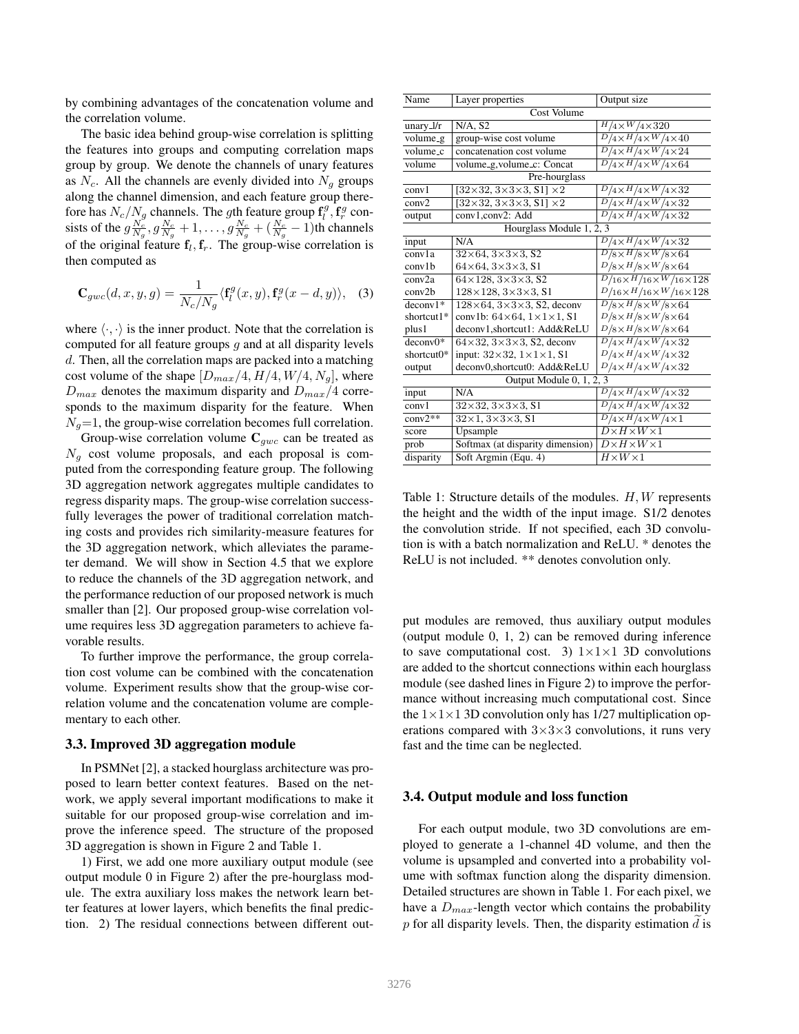by combining advantages of the concatenation volume and the correlation volume.

The basic idea behind group-wise correlation is splitting the features into groups and computing correlation maps group by group. We denote the channels of unary features as  $N_c$ . All the channels are evenly divided into  $N_a$  groups along the channel dimension, and each feature group therefore has  $N_c/N_g$  channels. The gth feature group  $\mathbf{f}_l^g$ ,  $\mathbf{f}_r^g$  consists of the  $g \frac{N_c}{N_g}, g \frac{N_c}{N_g} + 1, \dots, g \frac{N_c}{N_g} + (\frac{N_c}{N_g} - 1)$ th channels of the original feature  $f_l$ ,  $f_r$ . The group-wise correlation is then computed as

$$
\mathbf{C}_{gwc}(d,x,y,g) = \frac{1}{N_c/N_g} \langle \mathbf{f}_l^g(x,y), \mathbf{f}_r^g(x-d,y) \rangle, \quad (3)
$$

where  $\langle \cdot, \cdot \rangle$  is the inner product. Note that the correlation is computed for all feature groups  $g$  and at all disparity levels d. Then, all the correlation maps are packed into a matching cost volume of the shape  $[D_{max}/4, H/4, W/4, N_g]$ , where  $D_{max}$  denotes the maximum disparity and  $D_{max}/4$  corresponds to the maximum disparity for the feature. When  $N<sub>q</sub>=1$ , the group-wise correlation becomes full correlation.

Group-wise correlation volume  $C_{gwc}$  can be treated as  $N_q$  cost volume proposals, and each proposal is computed from the corresponding feature group. The following 3D aggregation network aggregates multiple candidates to regress disparity maps. The group-wise correlation successfully leverages the power of traditional correlation matching costs and provides rich similarity-measure features for the 3D aggregation network, which alleviates the parameter demand. We will show in Section 4.5 that we explore to reduce the channels of the 3D aggregation network, and the performance reduction of our proposed network is much smaller than [2]. Our proposed group-wise correlation volume requires less 3D aggregation parameters to achieve favorable results.

To further improve the performance, the group correlation cost volume can be combined with the concatenation volume. Experiment results show that the group-wise correlation volume and the concatenation volume are complementary to each other.

#### 3.3. Improved 3D aggregation module

In PSMNet [2], a stacked hourglass architecture was proposed to learn better context features. Based on the network, we apply several important modifications to make it suitable for our proposed group-wise correlation and improve the inference speed. The structure of the proposed 3D aggregation is shown in Figure 2 and Table 1.

1) First, we add one more auxiliary output module (see output module 0 in Figure 2) after the pre-hourglass module. The extra auxiliary loss makes the network learn better features at lower layers, which benefits the final prediction. 2) The residual connections between different out-

| Name                     | Layer properties                                  | Output size                                    |  |  |  |  |  |  |  |
|--------------------------|---------------------------------------------------|------------------------------------------------|--|--|--|--|--|--|--|
| Cost Volume              |                                                   |                                                |  |  |  |  |  |  |  |
| unary_ $1/r$             | $N/A$ , S <sub>2</sub>                            | $H/4\times W/4\times 320$                      |  |  |  |  |  |  |  |
| volume_g                 | group-wise cost volume                            | $D/4\times H/4\times W/4\times 40$             |  |  |  |  |  |  |  |
| volume_c                 | concatenation cost volume                         | $D/4 \times H/4 \times W/4 \times 24$          |  |  |  |  |  |  |  |
| volume                   | volume_g,volume_c: Concat                         | $D/4\times H/4\times W/4\times 64$             |  |  |  |  |  |  |  |
| Pre-hourglass            |                                                   |                                                |  |  |  |  |  |  |  |
| conv1                    | $[32\times32, 3\times3\times3, S1] \times2$       | $D/4\times H/4\times W/4\times 32$             |  |  |  |  |  |  |  |
| conv2                    | $[32\times32, 3\times3\times3, S1] \times2$       | $D/4\times H/4\times W/4\times 32$             |  |  |  |  |  |  |  |
| output                   | conv1,conv2: Add                                  | $D/4\times H/4\times W/4\times 32$             |  |  |  |  |  |  |  |
| Hourglass Module 1, 2, 3 |                                                   |                                                |  |  |  |  |  |  |  |
| input                    | N/A                                               | $D/4 \times H/4 \times W/4 \times 32$          |  |  |  |  |  |  |  |
| conv1a                   | $32\times64$ , $3\times3\times3$ , S <sub>2</sub> | $D/8\times H/8\times W/8\times 64$             |  |  |  |  |  |  |  |
| conv1b                   | $64\times64, 3\times3\times3, 51$                 | $D/8\times H/8\times W/8\times 64$             |  |  |  |  |  |  |  |
| conv2a                   | $64\times128.3\times3\times3.52$                  | $\frac{D}{16\times H/16\times W/16\times 128}$ |  |  |  |  |  |  |  |
| conv2b                   | $128 \times 128$ , $3 \times 3 \times 3$ , S1     | $D/_{16\times H/_{16\times W/_{16\times 128}}$ |  |  |  |  |  |  |  |
| $deconv1*$               | $128\times64$ , $3\times3\times3$ , S2, deconv    | $D/8\times H/8\times W/8\times 64$             |  |  |  |  |  |  |  |
| shortcut $1*$            | conv1b: $64\times64$ , $1\times1\times1$ , S1     | $D/8\times H/8\times W/8\times 64$             |  |  |  |  |  |  |  |
| plus1                    | deconv1,shortcut1: Add&ReLU                       | $D/8\times H/8\times W/8\times 64$             |  |  |  |  |  |  |  |
| $deconv0*$               | $64\times32$ , $3\times3\times3$ , S2, deconv     | $D/4\times H/4\times W/4\times 32$             |  |  |  |  |  |  |  |
| shortcut $0^*$           | input: $32\times32$ , $1\times1\times1$ , S1      | $D/4\times H/4\times W/4\times 32$             |  |  |  |  |  |  |  |
| output                   | deconv0,shortcut0: Add&ReLU                       | $D/4\times H/4\times W/4\times 32$             |  |  |  |  |  |  |  |
| Output Module 0, 1, 2, 3 |                                                   |                                                |  |  |  |  |  |  |  |
| input                    | N/A                                               | $D/4 \times H/4 \times W/4 \times 32$          |  |  |  |  |  |  |  |
| conv1                    | $32\times32$ , $3\times3\times3$ , S1             | $D/4 \times H/4 \times W/4 \times 32$          |  |  |  |  |  |  |  |
| $conv2**$                | $32\times1, 3\times3\times3, 51$                  | $D/4\times H/4\times W/4\times 1$              |  |  |  |  |  |  |  |
| score                    | Upsample                                          | $\overline{D \times H \times W} \times 1$      |  |  |  |  |  |  |  |
| prob                     | Softmax (at disparity dimension)                  | $D \times H \times W \times 1$                 |  |  |  |  |  |  |  |
| disparity                | Soft Argmin (Equ. 4)                              | $H \times W \times 1$                          |  |  |  |  |  |  |  |

Table 1: Structure details of the modules. H, W represents the height and the width of the input image. S1/2 denotes the convolution stride. If not specified, each 3D convolution is with a batch normalization and ReLU. \* denotes the ReLU is not included. \*\* denotes convolution only.

put modules are removed, thus auxiliary output modules (output module 0, 1, 2) can be removed during inference to save computational cost. 3)  $1 \times 1 \times 1$  3D convolutions are added to the shortcut connections within each hourglass module (see dashed lines in Figure 2) to improve the performance without increasing much computational cost. Since the  $1 \times 1 \times 1$  3D convolution only has 1/27 multiplication operations compared with  $3\times3\times3$  convolutions, it runs very fast and the time can be neglected.

#### 3.4. Output module and loss function

For each output module, two 3D convolutions are employed to generate a 1-channel 4D volume, and then the volume is upsampled and converted into a probability volume with softmax function along the disparity dimension. Detailed structures are shown in Table 1. For each pixel, we have a  $D_{max}$ -length vector which contains the probability  $p$  for all disparity levels. Then, the disparity estimation  $d$  is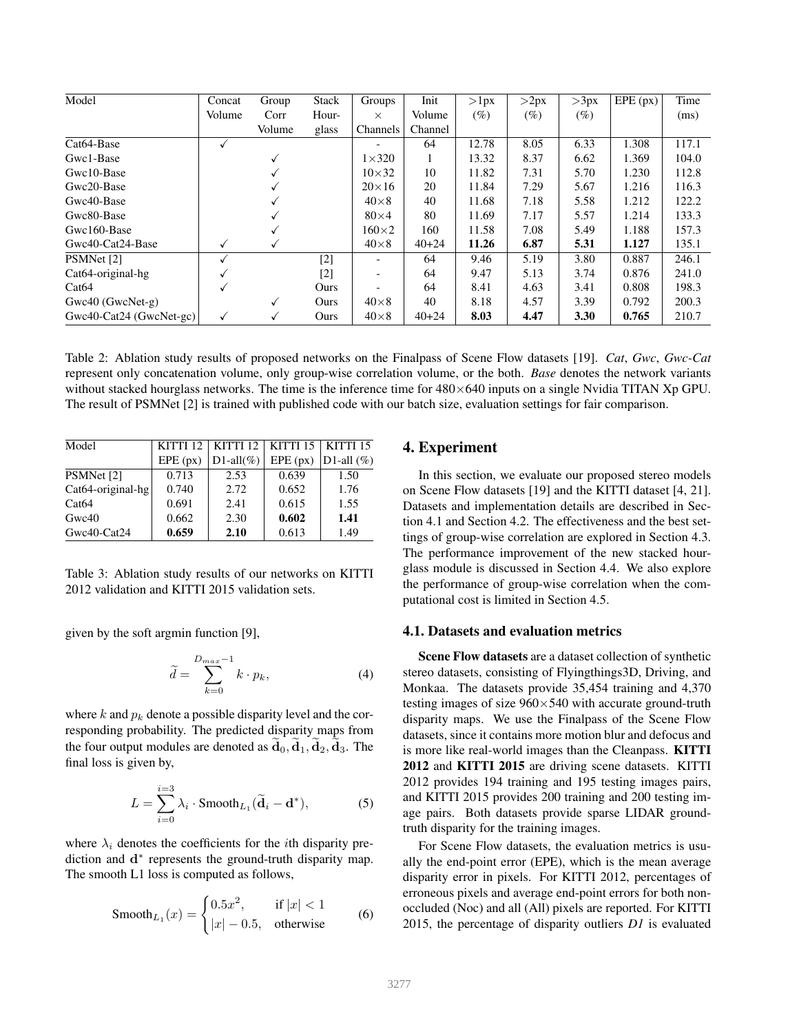| Model                          | Concat       | Group  | <b>Stack</b> | Groups                       | Init      | >1px   | >2px   | >3px   | EPE (px) | Time  |
|--------------------------------|--------------|--------|--------------|------------------------------|-----------|--------|--------|--------|----------|-------|
|                                | Volume       | Corr   | Hour-        | $\times$                     | Volume    | $(\%)$ | $(\%)$ | $(\%)$ |          | (ms)  |
|                                |              | Volume | glass        | Channels                     | Channel   |        |        |        |          |       |
| Cat <sub>64</sub> -Base        | v            |        |              |                              | 64        | 12.78  | 8.05   | 6.33   | 1.308    | 117.1 |
| Gwc1-Base                      |              | V      |              | $1\times 320$                |           | 13.32  | 8.37   | 6.62   | 1.369    | 104.0 |
| Gwc10-Base                     |              |        |              | $10\times32$                 | 10        | 11.82  | 7.31   | 5.70   | 1.230    | 112.8 |
| Gwc20-Base                     |              |        |              | $20\times16$                 | 20        | 11.84  | 7.29   | 5.67   | 1.216    | 116.3 |
| Gwc40-Base                     |              |        |              | $40\times8$                  | 40        | 11.68  | 7.18   | 5.58   | 1.212    | 122.2 |
| Gwc80-Base                     |              | v      |              | $80\times4$                  | 80        | 11.69  | 7.17   | 5.57   | 1.214    | 133.3 |
| Gwc160-Base                    |              |        |              | $160\times2$                 | 160       | 11.58  | 7.08   | 5.49   | 1.188    | 157.3 |
| Gwc40-Cat24-Base               | ✓            | ✓      |              | $40\times8$                  | $40 + 24$ | 11.26  | 6.87   | 5.31   | 1.127    | 135.1 |
| PSMNet [2]                     | √            |        | $[2]$        | $\overline{\phantom{0}}$     | 64        | 9.46   | 5.19   | 3.80   | 0.887    | 246.1 |
| Cat <sub>64</sub> -original-hg | √            |        | $[2]$        | $\qquad \qquad \blacksquare$ | 64        | 9.47   | 5.13   | 3.74   | 0.876    | 241.0 |
| Cat64                          | √            |        | Ours         |                              | 64        | 8.41   | 4.63   | 3.41   | 0.808    | 198.3 |
| $Gwc40$ ( $GwcNet-g$ )         |              | ✓      | Ours         | $40\times8$                  | 40        | 8.18   | 4.57   | 3.39   | 0.792    | 200.3 |
| Gwc40-Cat24 (GwcNet-gc)        | $\checkmark$ | √      | Ours         | $40\times8$                  | $40 + 24$ | 8.03   | 4.47   | 3.30   | 0.765    | 210.7 |

Table 2: Ablation study results of proposed networks on the Finalpass of Scene Flow datasets [19]. *Cat*, *Gwc*, *Gwc-Cat* represent only concatenation volume, only group-wise correlation volume, or the both. *Base* denotes the network variants without stacked hourglass networks. The time is the inference time for  $480\times640$  inputs on a single Nvidia TITAN Xp GPU. The result of PSMNet [2] is trained with published code with our batch size, evaluation settings for fair comparison.

| Model                |          | KITTI 12   KITTI 12   KITTI 15   KITTI 15 |          |               |  |  |
|----------------------|----------|-------------------------------------------|----------|---------------|--|--|
|                      | EPE (px) | $D1$ -all $(\%)$                          | EPE (px) | D1-all $(\%)$ |  |  |
| PSMNet [2]           | 0.713    | 2.53                                      | 0.639    | 1.50          |  |  |
| $Cat64$ -original-hg | 0.740    | 2.72                                      | 0.652    | 1.76          |  |  |
| Cat64                | 0.691    | 2.41                                      | 0.615    | 1.55          |  |  |
| Gwc40                | 0.662    | 2.30                                      | 0.602    | 1.41          |  |  |
| Gwc40-Cat24          | 0.659    | 2.10                                      | 0.613    | 1.49          |  |  |

Table 3: Ablation study results of our networks on KITTI 2012 validation and KITTI 2015 validation sets.

given by the soft argmin function [9],

$$
\widetilde{d} = \sum_{k=0}^{D_{max}-1} k \cdot p_k,\tag{4}
$$

where k and  $p_k$  denote a possible disparity level and the corresponding probability. The predicted disparity maps from the four output modules are denoted as  $\tilde{d}_0$ ,  $\tilde{d}_1$ ,  $\tilde{d}_2$ ,  $\tilde{d}_3$ . The final loss is given by,

$$
L = \sum_{i=0}^{i=3} \lambda_i \cdot \text{Smooth}_{L_1}(\widetilde{\mathbf{d}}_i - \mathbf{d}^*),
$$
 (5)

where  $\lambda_i$  denotes the coefficients for the *i*th disparity prediction and  $d^*$  represents the ground-truth disparity map. The smooth L1 loss is computed as follows,

$$
\text{Smooth}_{L_1}(x) = \begin{cases} 0.5x^2, & \text{if } |x| < 1\\ |x| - 0.5, & \text{otherwise} \end{cases} \tag{6}
$$

### 4. Experiment

In this section, we evaluate our proposed stereo models on Scene Flow datasets [19] and the KITTI dataset [4, 21]. Datasets and implementation details are described in Section 4.1 and Section 4.2. The effectiveness and the best settings of group-wise correlation are explored in Section 4.3. The performance improvement of the new stacked hourglass module is discussed in Section 4.4. We also explore the performance of group-wise correlation when the computational cost is limited in Section 4.5.

### 4.1. Datasets and evaluation metrics

Scene Flow datasets are a dataset collection of synthetic stereo datasets, consisting of Flyingthings3D, Driving, and Monkaa. The datasets provide 35,454 training and 4,370 testing images of size 960×540 with accurate ground-truth disparity maps. We use the Finalpass of the Scene Flow datasets, since it contains more motion blur and defocus and is more like real-world images than the Cleanpass. KITTI 2012 and KITTI 2015 are driving scene datasets. KITTI 2012 provides 194 training and 195 testing images pairs, and KITTI 2015 provides 200 training and 200 testing image pairs. Both datasets provide sparse LIDAR groundtruth disparity for the training images.

For Scene Flow datasets, the evaluation metrics is usually the end-point error (EPE), which is the mean average disparity error in pixels. For KITTI 2012, percentages of erroneous pixels and average end-point errors for both nonoccluded (Noc) and all (All) pixels are reported. For KITTI 2015, the percentage of disparity outliers *D1* is evaluated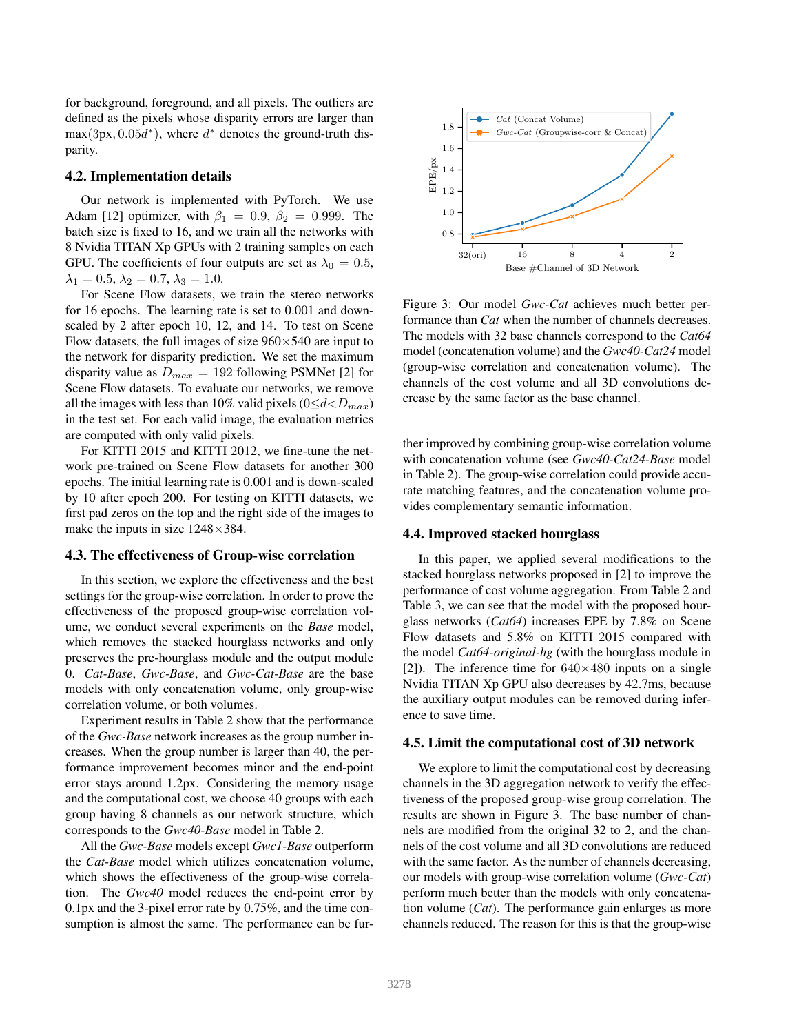for background, foreground, and all pixels. The outliers are defined as the pixels whose disparity errors are larger than  $max(3px, 0.05\ddot{d}^*)$ , where  $d^*$  denotes the ground-truth disparity.

### 4.2. Implementation details

Our network is implemented with PyTorch. We use Adam [12] optimizer, with  $\beta_1 = 0.9$ ,  $\beta_2 = 0.999$ . The batch size is fixed to 16, and we train all the networks with 8 Nvidia TITAN Xp GPUs with 2 training samples on each GPU. The coefficients of four outputs are set as  $\lambda_0 = 0.5$ ,  $\lambda_1 = 0.5, \lambda_2 = 0.7, \lambda_3 = 1.0.$ 

For Scene Flow datasets, we train the stereo networks for 16 epochs. The learning rate is set to 0.001 and downscaled by 2 after epoch 10, 12, and 14. To test on Scene Flow datasets, the full images of size  $960 \times 540$  are input to the network for disparity prediction. We set the maximum disparity value as  $D_{max} = 192$  following PSMNet [2] for Scene Flow datasets. To evaluate our networks, we remove all the images with less than 10% valid pixels ( $0 \le d \lt D_{max}$ ) in the test set. For each valid image, the evaluation metrics are computed with only valid pixels.

For KITTI 2015 and KITTI 2012, we fine-tune the network pre-trained on Scene Flow datasets for another 300 epochs. The initial learning rate is 0.001 and is down-scaled by 10 after epoch 200. For testing on KITTI datasets, we first pad zeros on the top and the right side of the images to make the inputs in size  $1248 \times 384$ .

#### 4.3. The effectiveness of Group-wise correlation

In this section, we explore the effectiveness and the best settings for the group-wise correlation. In order to prove the effectiveness of the proposed group-wise correlation volume, we conduct several experiments on the *Base* model, which removes the stacked hourglass networks and only preserves the pre-hourglass module and the output module 0. *Cat-Base*, *Gwc-Base*, and *Gwc-Cat-Base* are the base models with only concatenation volume, only group-wise correlation volume, or both volumes.

Experiment results in Table 2 show that the performance of the *Gwc-Base* network increases as the group number increases. When the group number is larger than 40, the performance improvement becomes minor and the end-point error stays around 1.2px. Considering the memory usage and the computational cost, we choose 40 groups with each group having 8 channels as our network structure, which corresponds to the *Gwc40-Base* model in Table 2.

All the *Gwc-Base* models except *Gwc1-Base* outperform the *Cat-Base* model which utilizes concatenation volume, which shows the effectiveness of the group-wise correlation. The *Gwc40* model reduces the end-point error by 0.1px and the 3-pixel error rate by 0.75%, and the time consumption is almost the same. The performance can be fur-



Figure 3: Our model *Gwc-Cat* achieves much better performance than *Cat* when the number of channels decreases. The models with 32 base channels correspond to the *Cat64* model (concatenation volume) and the *Gwc40-Cat24* model (group-wise correlation and concatenation volume). The channels of the cost volume and all 3D convolutions decrease by the same factor as the base channel.

ther improved by combining group-wise correlation volume with concatenation volume (see *Gwc40-Cat24-Base* model in Table 2). The group-wise correlation could provide accurate matching features, and the concatenation volume provides complementary semantic information.

#### 4.4. Improved stacked hourglass

In this paper, we applied several modifications to the stacked hourglass networks proposed in [2] to improve the performance of cost volume aggregation. From Table 2 and Table 3, we can see that the model with the proposed hourglass networks (*Cat64*) increases EPE by 7.8% on Scene Flow datasets and 5.8% on KITTI 2015 compared with the model *Cat64-original-hg* (with the hourglass module in [2]). The inference time for  $640\times480$  inputs on a single Nvidia TITAN Xp GPU also decreases by 42.7ms, because the auxiliary output modules can be removed during inference to save time.

### 4.5. Limit the computational cost of 3D network

We explore to limit the computational cost by decreasing channels in the 3D aggregation network to verify the effectiveness of the proposed group-wise group correlation. The results are shown in Figure 3. The base number of channels are modified from the original 32 to 2, and the channels of the cost volume and all 3D convolutions are reduced with the same factor. As the number of channels decreasing, our models with group-wise correlation volume (*Gwc-Cat*) perform much better than the models with only concatenation volume (*Cat*). The performance gain enlarges as more channels reduced. The reason for this is that the group-wise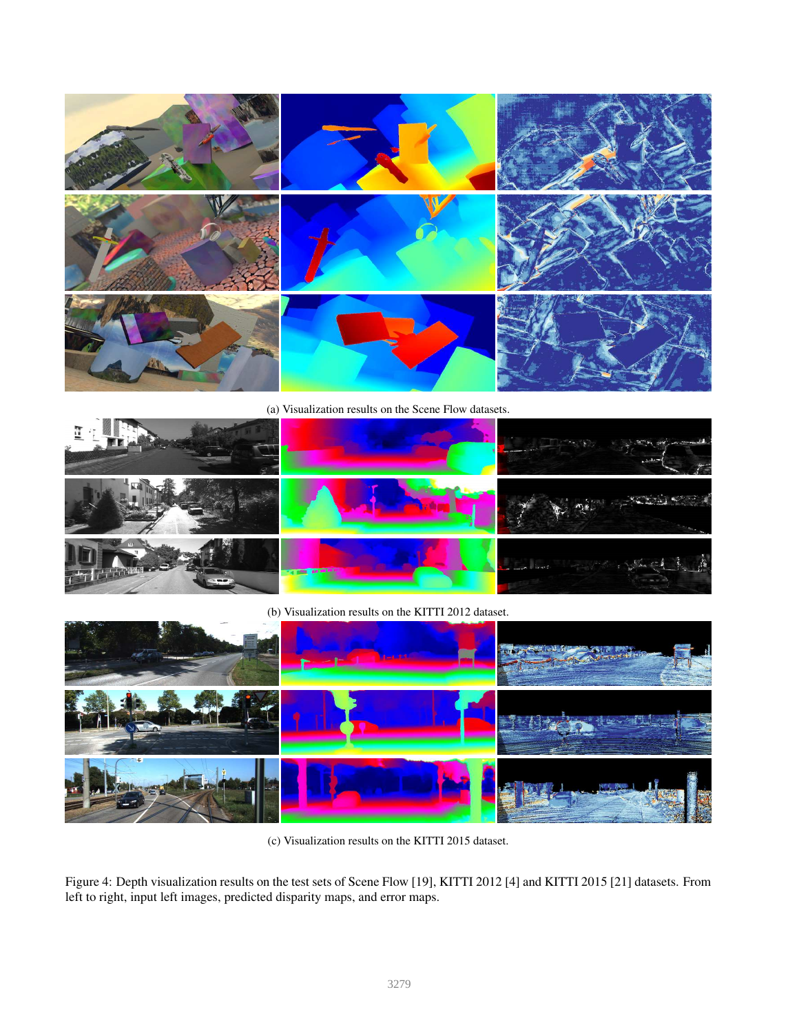

(a) Visualization results on the Scene Flow datasets.



(b) Visualization results on the KITTI 2012 dataset.



(c) Visualization results on the KITTI 2015 dataset.

Figure 4: Depth visualization results on the test sets of Scene Flow [19], KITTI 2012 [4] and KITTI 2015 [21] datasets. From left to right, input left images, predicted disparity maps, and error maps.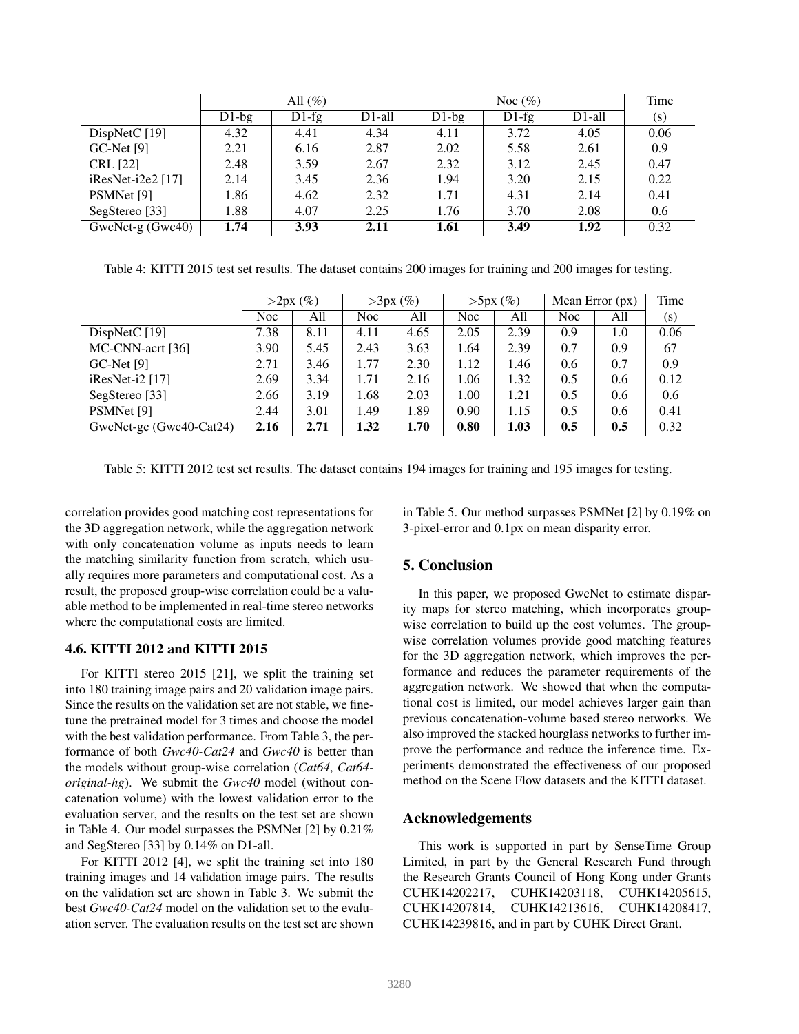|                          |          | All $(\%)$ |        |          | Time    |           |      |
|--------------------------|----------|------------|--------|----------|---------|-----------|------|
|                          | $D1$ -bg | $D1-fg$    | D1-all | $D1$ -bg | $D1-fg$ | $D1$ -all | (s)  |
| DispNetC $[19]$          | 4.32     | 4.41       | 4.34   | 4.11     | 3.72    | 4.05      | 0.06 |
| $GC$ -Net [9]            | 2.21     | 6.16       | 2.87   | 2.02     | 5.58    | 2.61      | 0.9  |
| <b>CRL</b> [22]          | 2.48     | 3.59       | 2.67   | 2.32     | 3.12    | 2.45      | 0.47 |
| $i$ ResNet- $i$ 2e2 [17] | 2.14     | 3.45       | 2.36   | 1.94     | 3.20    | 2.15      | 0.22 |
| PSMNet [9]               | 1.86     | 4.62       | 2.32   | 1.71     | 4.31    | 2.14      | 0.41 |
| SegStereo [33]           | 1.88     | 4.07       | 2.25   | 1.76     | 3.70    | 2.08      | 0.6  |
| $GwcNet-g(Gwc40)$        | 1.74     | 3.93       | 2.11   | 1.61     | 3.49    | 1.92      | 0.32 |

Table 4: KITTI 2015 test set results. The dataset contains 200 images for training and 200 images for testing.

|                         | >2px(%)    |      |      | $>3px$ (%) |      | $>5px$ (%) | Mean Error $(px)$ |     | Time |
|-------------------------|------------|------|------|------------|------|------------|-------------------|-----|------|
|                         | <b>Noc</b> | All  | Noc  | All        | Noc. | All        | Noc               | All | (s)  |
| DispNetC $[19]$         | 7.38       | 8.11 | 4.11 | 4.65       | 2.05 | 2.39       | 0.9               | 1.0 | 0.06 |
| MC-CNN-acrt [36]        | 3.90       | 5.45 | 2.43 | 3.63       | 1.64 | 2.39       | 0.7               | 0.9 | 67   |
| $GC$ -Net [9]           | 2.71       | 3.46 | 1.77 | 2.30       | 1.12 | 1.46       | 0.6               | 0.7 | 0.9  |
| $i$ ResNet- $i$ 2 [17]  | 2.69       | 3.34 | 1.71 | 2.16       | 1.06 | 1.32       | 0.5               | 0.6 | 0.12 |
| SegStereo [33]          | 2.66       | 3.19 | 1.68 | 2.03       | 1.00 | 1.21       | 0.5               | 0.6 | 0.6  |
| PSMNet [9]              | 2.44       | 3.01 | 1.49 | 1.89       | 0.90 | 1.15       | 0.5               | 0.6 | 0.41 |
| GwcNet-gc (Gwc40-Cat24) | 2.16       | 2.71 | 1.32 | 1.70       | 0.80 | 1.03       | 0.5               | 0.5 | 0.32 |

Table 5: KITTI 2012 test set results. The dataset contains 194 images for training and 195 images for testing.

correlation provides good matching cost representations for the 3D aggregation network, while the aggregation network with only concatenation volume as inputs needs to learn the matching similarity function from scratch, which usually requires more parameters and computational cost. As a result, the proposed group-wise correlation could be a valuable method to be implemented in real-time stereo networks where the computational costs are limited.

## 4.6. KITTI 2012 and KITTI 2015

For KITTI stereo 2015 [21], we split the training set into 180 training image pairs and 20 validation image pairs. Since the results on the validation set are not stable, we finetune the pretrained model for 3 times and choose the model with the best validation performance. From Table 3, the performance of both *Gwc40-Cat24* and *Gwc40* is better than the models without group-wise correlation (*Cat64*, *Cat64 original-hg*). We submit the *Gwc40* model (without concatenation volume) with the lowest validation error to the evaluation server, and the results on the test set are shown in Table 4. Our model surpasses the PSMNet [2] by 0.21% and SegStereo [33] by 0.14% on D1-all.

For KITTI 2012 [4], we split the training set into 180 training images and 14 validation image pairs. The results on the validation set are shown in Table 3. We submit the best *Gwc40-Cat24* model on the validation set to the evaluation server. The evaluation results on the test set are shown in Table 5. Our method surpasses PSMNet [2] by 0.19% on 3-pixel-error and 0.1px on mean disparity error.

## 5. Conclusion

In this paper, we proposed GwcNet to estimate disparity maps for stereo matching, which incorporates groupwise correlation to build up the cost volumes. The groupwise correlation volumes provide good matching features for the 3D aggregation network, which improves the performance and reduces the parameter requirements of the aggregation network. We showed that when the computational cost is limited, our model achieves larger gain than previous concatenation-volume based stereo networks. We also improved the stacked hourglass networks to further improve the performance and reduce the inference time. Experiments demonstrated the effectiveness of our proposed method on the Scene Flow datasets and the KITTI dataset.

## Acknowledgements

This work is supported in part by SenseTime Group Limited, in part by the General Research Fund through the Research Grants Council of Hong Kong under Grants CUHK14202217, CUHK14203118, CUHK14205615, CUHK14207814, CUHK14213616, CUHK14208417, CUHK14239816, and in part by CUHK Direct Grant.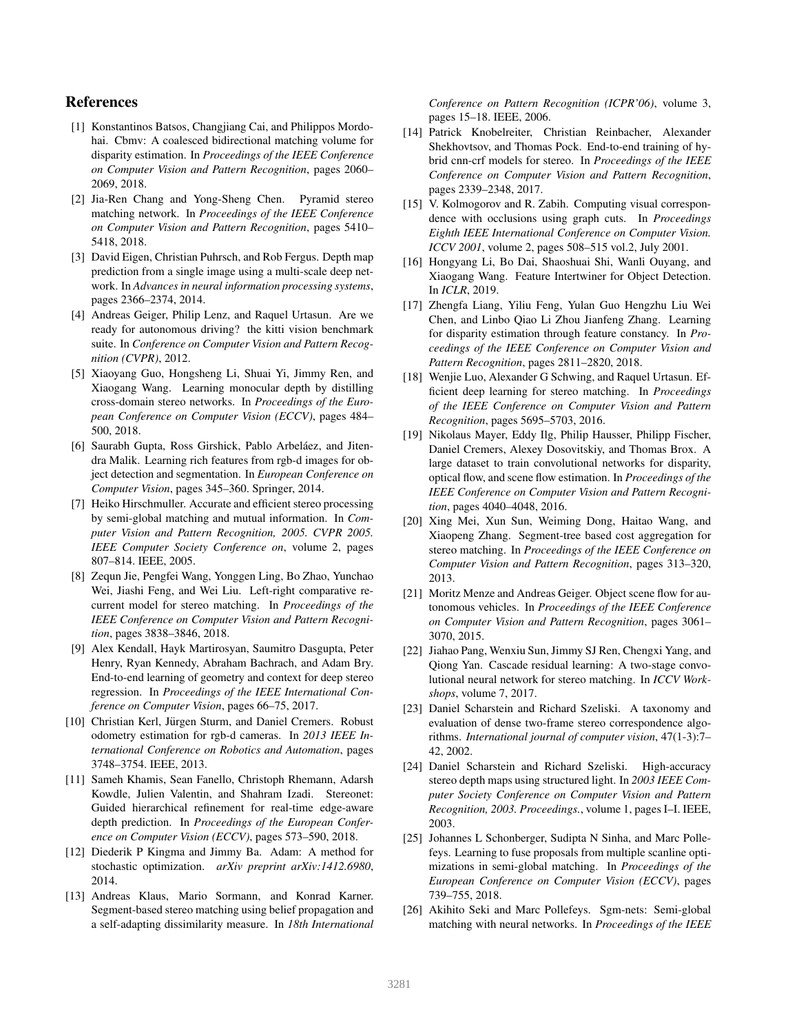## References

- [1] Konstantinos Batsos, Changjiang Cai, and Philippos Mordohai. Cbmv: A coalesced bidirectional matching volume for disparity estimation. In *Proceedings of the IEEE Conference on Computer Vision and Pattern Recognition*, pages 2060– 2069, 2018.
- [2] Jia-Ren Chang and Yong-Sheng Chen. Pyramid stereo matching network. In *Proceedings of the IEEE Conference on Computer Vision and Pattern Recognition*, pages 5410– 5418, 2018.
- [3] David Eigen, Christian Puhrsch, and Rob Fergus. Depth map prediction from a single image using a multi-scale deep network. In *Advances in neural information processing systems*, pages 2366–2374, 2014.
- [4] Andreas Geiger, Philip Lenz, and Raquel Urtasun. Are we ready for autonomous driving? the kitti vision benchmark suite. In *Conference on Computer Vision and Pattern Recognition (CVPR)*, 2012.
- [5] Xiaoyang Guo, Hongsheng Li, Shuai Yi, Jimmy Ren, and Xiaogang Wang. Learning monocular depth by distilling cross-domain stereo networks. In *Proceedings of the European Conference on Computer Vision (ECCV)*, pages 484– 500, 2018.
- [6] Saurabh Gupta, Ross Girshick, Pablo Arbeláez, and Jitendra Malik. Learning rich features from rgb-d images for object detection and segmentation. In *European Conference on Computer Vision*, pages 345–360. Springer, 2014.
- [7] Heiko Hirschmuller. Accurate and efficient stereo processing by semi-global matching and mutual information. In *Computer Vision and Pattern Recognition, 2005. CVPR 2005. IEEE Computer Society Conference on*, volume 2, pages 807–814. IEEE, 2005.
- [8] Zequn Jie, Pengfei Wang, Yonggen Ling, Bo Zhao, Yunchao Wei, Jiashi Feng, and Wei Liu. Left-right comparative recurrent model for stereo matching. In *Proceedings of the IEEE Conference on Computer Vision and Pattern Recognition*, pages 3838–3846, 2018.
- [9] Alex Kendall, Hayk Martirosyan, Saumitro Dasgupta, Peter Henry, Ryan Kennedy, Abraham Bachrach, and Adam Bry. End-to-end learning of geometry and context for deep stereo regression. In *Proceedings of the IEEE International Conference on Computer Vision*, pages 66–75, 2017.
- [10] Christian Kerl, Jürgen Sturm, and Daniel Cremers. Robust odometry estimation for rgb-d cameras. In *2013 IEEE International Conference on Robotics and Automation*, pages 3748–3754. IEEE, 2013.
- [11] Sameh Khamis, Sean Fanello, Christoph Rhemann, Adarsh Kowdle, Julien Valentin, and Shahram Izadi. Stereonet: Guided hierarchical refinement for real-time edge-aware depth prediction. In *Proceedings of the European Conference on Computer Vision (ECCV)*, pages 573–590, 2018.
- [12] Diederik P Kingma and Jimmy Ba. Adam: A method for stochastic optimization. *arXiv preprint arXiv:1412.6980*, 2014.
- [13] Andreas Klaus, Mario Sormann, and Konrad Karner. Segment-based stereo matching using belief propagation and a self-adapting dissimilarity measure. In *18th International*

*Conference on Pattern Recognition (ICPR'06)*, volume 3, pages 15–18. IEEE, 2006.

- [14] Patrick Knobelreiter, Christian Reinbacher, Alexander Shekhovtsov, and Thomas Pock. End-to-end training of hybrid cnn-crf models for stereo. In *Proceedings of the IEEE Conference on Computer Vision and Pattern Recognition*, pages 2339–2348, 2017.
- [15] V. Kolmogorov and R. Zabih. Computing visual correspondence with occlusions using graph cuts. In *Proceedings Eighth IEEE International Conference on Computer Vision. ICCV 2001*, volume 2, pages 508–515 vol.2, July 2001.
- [16] Hongyang Li, Bo Dai, Shaoshuai Shi, Wanli Ouyang, and Xiaogang Wang. Feature Intertwiner for Object Detection. In *ICLR*, 2019.
- [17] Zhengfa Liang, Yiliu Feng, Yulan Guo Hengzhu Liu Wei Chen, and Linbo Qiao Li Zhou Jianfeng Zhang. Learning for disparity estimation through feature constancy. In *Proceedings of the IEEE Conference on Computer Vision and Pattern Recognition*, pages 2811–2820, 2018.
- [18] Wenjie Luo, Alexander G Schwing, and Raquel Urtasun. Efficient deep learning for stereo matching. In *Proceedings of the IEEE Conference on Computer Vision and Pattern Recognition*, pages 5695–5703, 2016.
- [19] Nikolaus Mayer, Eddy Ilg, Philip Hausser, Philipp Fischer, Daniel Cremers, Alexey Dosovitskiy, and Thomas Brox. A large dataset to train convolutional networks for disparity, optical flow, and scene flow estimation. In *Proceedings of the IEEE Conference on Computer Vision and Pattern Recognition*, pages 4040–4048, 2016.
- [20] Xing Mei, Xun Sun, Weiming Dong, Haitao Wang, and Xiaopeng Zhang. Segment-tree based cost aggregation for stereo matching. In *Proceedings of the IEEE Conference on Computer Vision and Pattern Recognition*, pages 313–320, 2013.
- [21] Moritz Menze and Andreas Geiger. Object scene flow for autonomous vehicles. In *Proceedings of the IEEE Conference on Computer Vision and Pattern Recognition*, pages 3061– 3070, 2015.
- [22] Jiahao Pang, Wenxiu Sun, Jimmy SJ Ren, Chengxi Yang, and Qiong Yan. Cascade residual learning: A two-stage convolutional neural network for stereo matching. In *ICCV Workshops*, volume 7, 2017.
- [23] Daniel Scharstein and Richard Szeliski. A taxonomy and evaluation of dense two-frame stereo correspondence algorithms. *International journal of computer vision*, 47(1-3):7– 42, 2002.
- [24] Daniel Scharstein and Richard Szeliski. High-accuracy stereo depth maps using structured light. In *2003 IEEE Computer Society Conference on Computer Vision and Pattern Recognition, 2003. Proceedings.*, volume 1, pages I–I. IEEE, 2003.
- [25] Johannes L Schonberger, Sudipta N Sinha, and Marc Pollefeys. Learning to fuse proposals from multiple scanline optimizations in semi-global matching. In *Proceedings of the European Conference on Computer Vision (ECCV)*, pages 739–755, 2018.
- [26] Akihito Seki and Marc Pollefeys. Sgm-nets: Semi-global matching with neural networks. In *Proceedings of the IEEE*